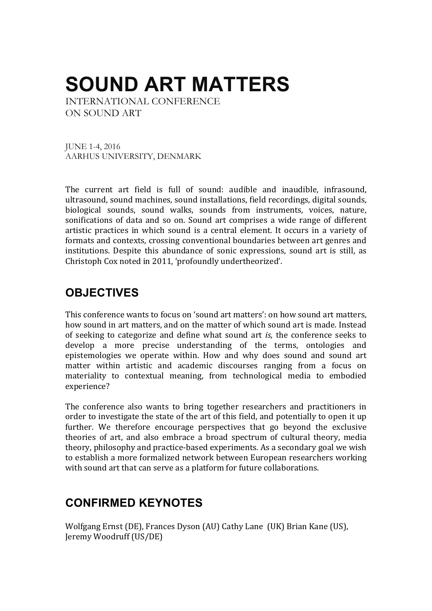# **SOUND ART MATTERS**

INTERNATIONAL CONFERENCE ON SOUND ART

JUNE 1-4, 2016 AARHUS UNIVERSITY, DENMARK

The current art field is full of sound: audible and inaudible, infrasound, ultrasound, sound machines, sound installations, field recordings, digital sounds, biological sounds, sound walks, sounds from instruments, voices, nature, sonifications of data and so on. Sound art comprises a wide range of different artistic practices in which sound is a central element. It occurs in a variety of formats and contexts, crossing conventional boundaries between art genres and institutions. Despite this abundance of sonic expressions, sound art is still, as Christoph Cox noted in 2011, 'profoundly undertheorized'.

### **OBJECTIVES**

This conference wants to focus on 'sound art matters': on how sound art matters, how sound in art matters, and on the matter of which sound art is made. Instead of seeking to categorize and define what sound art *is*, the conference seeks to develop a more precise understanding of the terms, ontologies and epistemologies we operate within. How and why does sound and sound art matter within artistic and academic discourses ranging from a focus on materiality to contextual meaning, from technological media to embodied experience?

The conference also wants to bring together researchers and practitioners in order to investigate the state of the art of this field, and potentially to open it up further. We therefore encourage perspectives that go beyond the exclusive theories of art, and also embrace a broad spectrum of cultural theory, media theory, philosophy and practice-based experiments. As a secondary goal we wish to establish a more formalized network between European researchers working with sound art that can serve as a platform for future collaborations.

### **CONFIRMED KEYNOTES**

Wolfgang Ernst (DE), Frances Dyson (AU) Cathy Lane (UK) Brian Kane (US), Jeremy Woodruff (US/DE)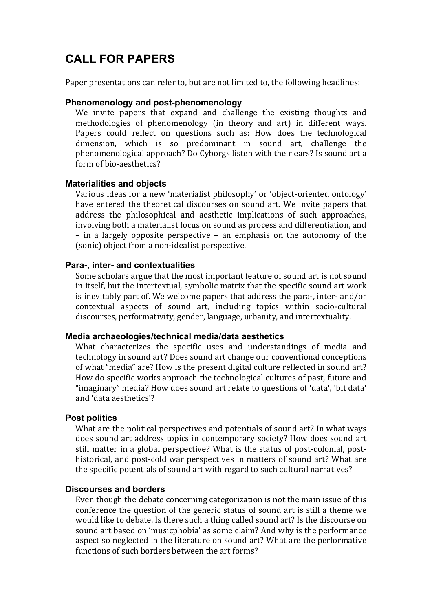### **CALL FOR PAPERS**

Paper presentations can refer to, but are not limited to, the following headlines:

#### **Phenomenology and post-phenomenology**

We invite papers that expand and challenge the existing thoughts and methodologies of phenomenology (in theory and art) in different ways. Papers could reflect on questions such as: How does the technological dimension, which is so predominant in sound art, challenge the phenomenological approach? Do Cyborgs listen with their ears? Is sound art a form of hio-aesthetics?

#### **Materialities and objects**

Various ideas for a new 'materialist philosophy' or 'object-oriented ontology' have entered the theoretical discourses on sound art. We invite papers that address the philosophical and aesthetic implications of such approaches, involving both a materialist focus on sound as process and differentiation, and  $-$  in a largely opposite perspective  $-$  an emphasis on the autonomy of the (sonic) object from a non-idealist perspective.

#### **Para-, inter- and contextualities**

Some scholars argue that the most important feature of sound art is not sound in itself, but the intertextual, symbolic matrix that the specific sound art work is inevitably part of. We welcome papers that address the para-, inter- and/or contextual aspects of sound art, including topics within socio-cultural discourses, performativity, gender, language, urbanity, and intertextuality.

#### **Media archaeologies/technical media/data aesthetics**

What characterizes the specific uses and understandings of media and technology in sound art? Does sound art change our conventional conceptions of what "media" are? How is the present digital culture reflected in sound art? How do specific works approach the technological cultures of past, future and "imaginary" media? How does sound art relate to questions of 'data', 'bit data' and 'data aesthetics'?

#### **Post politics**

What are the political perspectives and potentials of sound art? In what ways does sound art address topics in contemporary society? How does sound art still matter in a global perspective? What is the status of post-colonial, posthistorical, and post-cold war perspectives in matters of sound art? What are the specific potentials of sound art with regard to such cultural narratives?

#### **Discourses and borders**

Even though the debate concerning categorization is not the main issue of this conference the question of the generic status of sound art is still a theme we would like to debate. Is there such a thing called sound art? Is the discourse on sound art based on 'musicphobia' as some claim? And why is the performance aspect so neglected in the literature on sound art? What are the performative functions of such borders between the art forms?